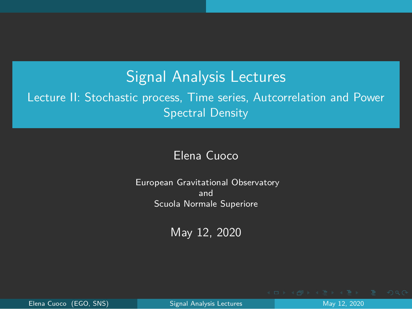### Signal Analysis Lectures

<span id="page-0-0"></span>Lecture II: Stochastic process, Time series, Autcorrelation and Power Spectral Density

#### Elena Cuoco

European Gravitational Observatory and Scuola Normale Superiore

May 12, 2020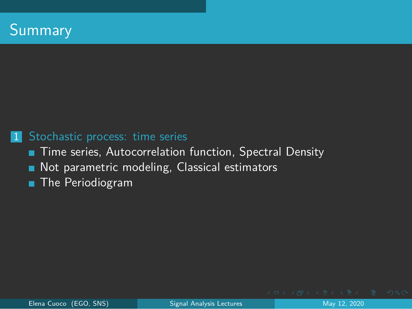#### <span id="page-1-0"></span>1 [Stochastic process: time series](#page-2-0)

- [Time series, Autocorrelation function, Spectral Density](#page-2-0)
- [Not parametric modeling, Classical estimators](#page-9-0) ٠
- **[The Periodiogram](#page-16-0)**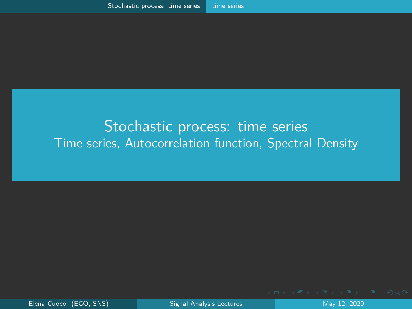#### <span id="page-2-0"></span>[Stochastic process: time series](#page-2-0) [Time series, Autocorrelation function, Spectral Density](#page-2-0)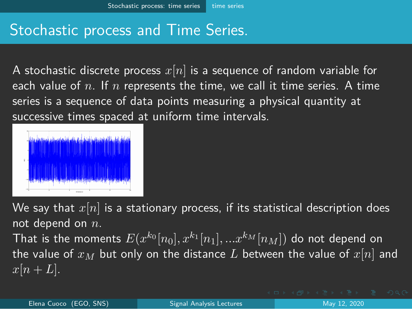# <span id="page-3-0"></span>Stochastic process and Time Series.

A stochastic discrete process *x*[*n*] is a sequence of random variable for each value of *n*. If *n* represents the time, we call it time series. A time series is a sequence of data points measuring a physical quantity at successive times spaced at uniform time intervals.



We say that *x*[*n*] is a stationary process, if its statistical description does not depend on *n*.

That is the moments  $E(x^{k_0}[n_0], x^{k_1}[n_1], ... x^{k_M}[n_M])$  do not depend on the value of  $x_M$  but only on the distance L between the value of  $x[n]$  and  $x[n+L]$ .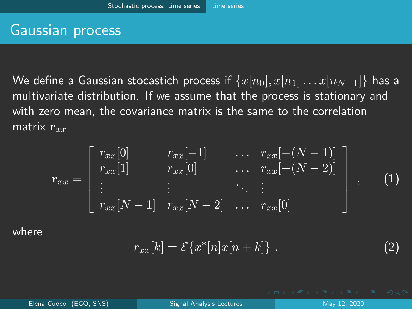#### <span id="page-4-0"></span>Gaussian process

We define a Gaussian stocastich process if  $\{x[n_0], x[n_1] \dots x[n_{N-1}]\}$  has a multivariate distribution. If we assume that the process is stationary and with zero mean, the covariance matrix is the same to the correlation matrix **r***xx*

$$
\mathbf{r}_{xx} = \begin{bmatrix} r_{xx}[0] & r_{xx}[-1] & \dots & r_{xx}[-(N-1)] \\ r_{xx}[1] & r_{xx}[0] & \dots & r_{xx}[-(N-2)] \\ \vdots & \vdots & \ddots & \vdots \\ r_{xx}[N-1] & r_{xx}[N-2] & \dots & r_{xx}[0] \end{bmatrix}, \quad (1)
$$

where

$$
r_{xx}[k] = \mathcal{E}\{x^*[n]x[n+k]\} \ . \tag{2}
$$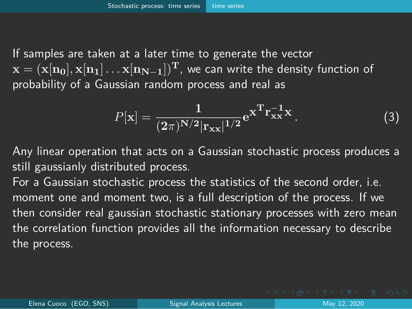<span id="page-5-0"></span>If samples are taken at a later time to generate the vector  $\mathbf{x} = (\mathbf{x}[\mathbf{n}_0], \mathbf{x}[\mathbf{n}_1], \dots, \mathbf{x}[\mathbf{n}_{N-1}])^{\mathrm{T}}$ , we can write the density function of probability of a Gaussian random process and real as

$$
P[\mathbf{x}] = \frac{1}{(2\pi)^{N/2} |r_{xx}|^{1/2}} e^{\mathbf{x}^{\mathrm{T}} r_{xx}^{-1} \mathbf{x}}.
$$
 (3)

Any linear operation that acts on a Gaussian stochastic process produces a still gaussianly distributed process.

For a Gaussian stochastic process the statistics of the second order, i.e. moment one and moment two, is a full description of the process. If we then consider real gaussian stochastic stationary processes with zero mean the correlation function provides all the information necessary to describe the process.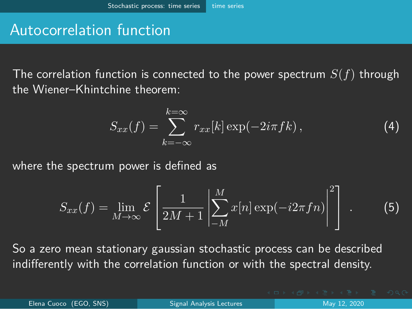## <span id="page-6-0"></span>Autocorrelation function

The correlation function is connected to the power spectrum *S*(*f*) through the Wiener–Khintchine theorem:

$$
S_{xx}(f) = \sum_{k=-\infty}^{k=\infty} r_{xx}[k] \exp(-2i\pi f k), \qquad (4)
$$

where the spectrum power is defined as

$$
S_{xx}(f) = \lim_{M \to \infty} \mathcal{E}\left[\frac{1}{2M+1} \left| \sum_{-M}^{M} x[n] \exp(-i2\pi f n) \right|^2\right].
$$
 (5)

So a zero mean stationary gaussian stochastic process can be described indifferently with the correlation function or with the spectral density.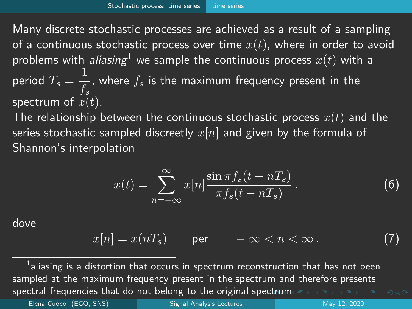<span id="page-7-0"></span>Many discrete stochastic processes are achieved as a result of a sampling of a continuous stochastic process over time *x*(*t*), where in order to avoid problems with *aliasing*<sup>1</sup> we sample the continuous process  $x(t)$  with a period  $T_s=\frac{1}{f}$  $\frac{1}{f_s}$ , where  $f_s$  is the maximum frequency present in the spectrum of *x*(*t*).

The relationship between the continuous stochastic process  $x(t)$  and the series stochastic sampled discreetly *x*[*n*] and given by the formula of Shannon's interpolation

$$
x(t) = \sum_{n = -\infty}^{\infty} x[n] \frac{\sin \pi f_s(t - nT_s)}{\pi f_s(t - nT_s)},
$$
\n(6)

dove

$$
x[n] = x(nT_s) \qquad \text{per} \qquad -\infty < n < \infty. \tag{7}
$$

sp[ect](#page-6-0)ral frequencies that do not belong to the original spectr[um](#page-8-0)  $\sigma \mapsto \epsilon \equiv \epsilon \pmod{2}$  $^{\rm 1}$ aliasing is a distortion that occurs in spectrum reconstruction that has not been sampled at the maximum frequency present in the spectrum and therefore presents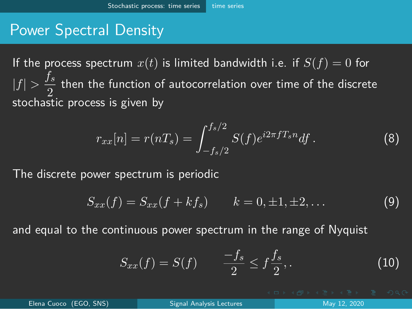# <span id="page-8-0"></span>Power Spectral Density

If the process spectrum  $x(t)$  is limited bandwidth i.e. if  $S(f) = 0$  for  $|f| > \frac{f_s}{\Omega}$  $\frac{2}{2}$  then the function of autocorrelation over time of the discrete<br>2. stochastic process is given by

$$
r_{xx}[n] = r(nT_s) = \int_{-f_s/2}^{f_s/2} S(f)e^{i2\pi fT_s n} df.
$$
 (8)

The discrete power spectrum is periodic

$$
S_{xx}(f) = S_{xx}(f + kf_s) \qquad k = 0, \pm 1, \pm 2, \dots \tag{9}
$$

and equal to the continuous power spectrum in the range of Nyquist

$$
S_{xx}(f) = S(f) \qquad \frac{-f_s}{2} \le f \frac{f_s}{2}, \qquad (10)
$$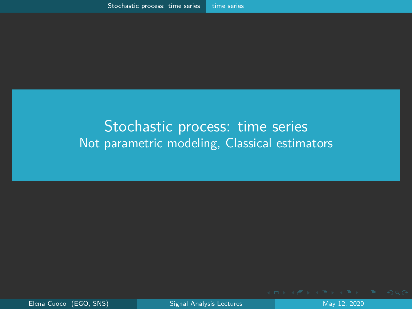#### <span id="page-9-0"></span>[Stochastic process: time series](#page-2-0) [Not parametric modeling, Classical estimators](#page-9-0)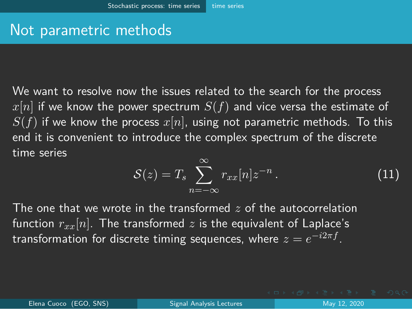## <span id="page-10-0"></span>Not parametric methods

We want to resolve now the issues related to the search for the process *x*[*n*] if we know the power spectrum *S*(*f*) and vice versa the estimate of  $S(f)$  if we know the process  $x[n]$ , using not parametric methods. To this end it is convenient to introduce the complex spectrum of the discrete time series

$$
S(z) = T_s \sum_{n=-\infty}^{\infty} r_{xx}[n] z^{-n} . \tag{11}
$$

The one that we wrote in the transformed *z* of the autocorrelation function  $r_{xx}[n]$ . The transformed  $z$  is the equivalent of Laplace's  $t$ ransformation for discrete timing sequences, where  $z=e^{-i2\pi f}.$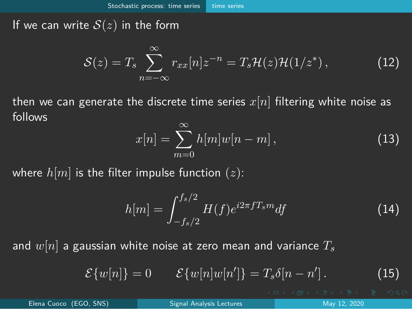<span id="page-11-0"></span>If we can write  $S(z)$  in the form

$$
S(z) = T_s \sum_{n=-\infty}^{\infty} r_{xx}[n]z^{-n} = T_s \mathcal{H}(z) \mathcal{H}(1/z^*), \qquad (12)
$$

then we can generate the discrete time series *x*[*n*] filtering white noise as follows

$$
x[n] = \sum_{m=0}^{\infty} h[m]w[n-m], \qquad (13)
$$

where  $h[m]$  is the filter impulse function  $(z)$ :

$$
h[m] = \int_{-f_s/2}^{f_s/2} H(f) e^{i2\pi f T_s m} df
$$
 (14)

and *w*[*n*] a gaussian white noise at zero mean and variance *T<sup>s</sup>*

$$
\mathcal{E}{w[n]} = 0 \qquad \mathcal{E}{w[n]w[n']} = T_s\delta[n-n'] \,. \tag{15}
$$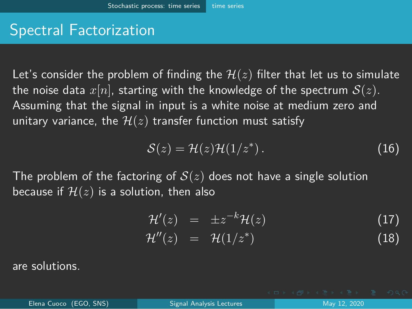# <span id="page-12-0"></span>Spectral Factorization

Let's consider the problem of finding the  $H(z)$  filter that let us to simulate the noise data  $x[n]$ , starting with the knowledge of the spectrum  $S(z)$ . Assuming that the signal in input is a white noise at medium zero and unitary variance, the  $H(z)$  transfer function must satisfy

$$
S(z) = \mathcal{H}(z)\mathcal{H}(1/z^*).
$$
 (16)

The problem of the factoring of *S*(*z*) does not have a single solution because if  $H(z)$  is a solution, then also

$$
\mathcal{H}'(z) = \pm z^{-k} \mathcal{H}(z) \tag{17}
$$

$$
\mathcal{H}''(z) = \mathcal{H}(1/z^*) \tag{18}
$$

are solutions.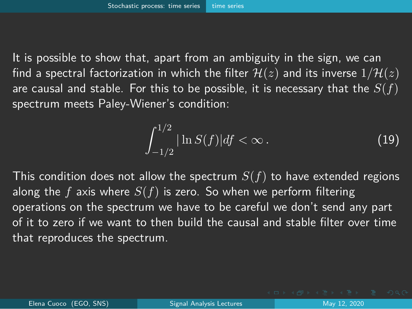<span id="page-13-0"></span>It is possible to show that, apart from an ambiguity in the sign, we can find a spectral factorization in which the filter  $H(z)$  and its inverse  $1/H(z)$ are causal and stable. For this to be possible, it is necessary that the *S*(*f*) spectrum meets Paley-Wiener's condition:

$$
\int_{-1/2}^{1/2} |\ln S(f)| df < \infty.
$$
 (19)

This condition does not allow the spectrum *S*(*f*) to have extended regions along the *f* axis where *S*(*f*) is zero. So when we perform filtering operations on the spectrum we have to be careful we don't send any part of it to zero if we want to then build the causal and stable filter over time that reproduces the spectrum.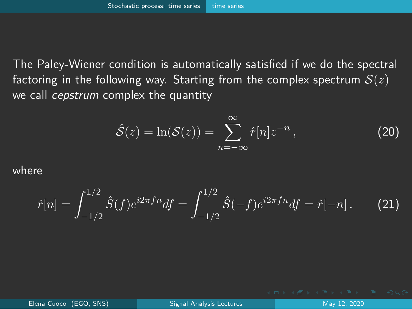<span id="page-14-0"></span>The Paley-Wiener condition is automatically satisfied if we do the spectral factoring in the following way. Starting from the complex spectrum *S*(*z*) we call *cepstrum* complex the quantity

$$
\hat{\mathcal{S}}(z) = \ln(\mathcal{S}(z)) = \sum_{n=-\infty}^{\infty} \hat{r}[n]z^{-n},\tag{20}
$$

where

$$
\hat{r}[n] = \int_{-1/2}^{1/2} \hat{S}(f) e^{i2\pi f n} df = \int_{-1/2}^{1/2} \hat{S}(-f) e^{i2\pi f n} df = \hat{r}[-n]. \tag{21}
$$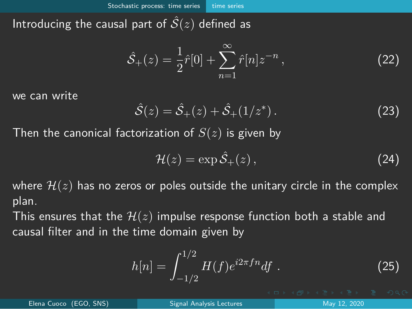<span id="page-15-0"></span>Introducing the causal part of  $S(z)$  defined as

$$
\hat{S}_+(z) = \frac{1}{2}\hat{r}[0] + \sum_{n=1}^{\infty} \hat{r}[n]z^{-n},
$$
\n(22)

we can write

$$
\hat{S}(z) = \hat{S}_+(z) + \hat{S}_+(1/z^*)\,. \tag{23}
$$

Then the canonical factorization of *S*(*z*) is given by

$$
\mathcal{H}(z) = \exp \hat{\mathcal{S}}_+(z),\tag{24}
$$

where  $H(z)$  has no zeros or poles outside the unitary circle in the complex plan.

This ensures that the  $H(z)$  impulse response function both a stable and causal filter and in the time domain given by

$$
h[n] = \int_{-1/2}^{1/2} H(f)e^{i2\pi fn} df . \qquad (25)
$$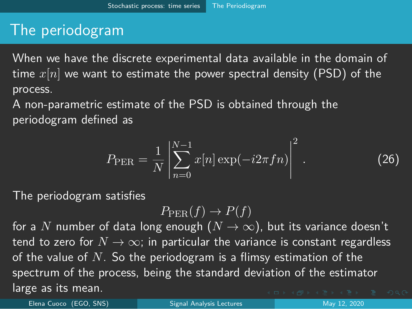# <span id="page-16-0"></span>The periodogram

When we have the discrete experimental data available in the domain of time *x*[*n*] we want to estimate the power spectral density (PSD) of the process.

A non-parametric estimate of the PSD is obtained through the periodogram defined as

$$
P_{\text{PER}} = \frac{1}{N} \left| \sum_{n=0}^{N-1} x[n] \exp(-i2\pi fn) \right|^2.
$$
 (26)

The periodogram satisfies

$$
P_{\text{PER}}(f) \to P(f)
$$

for a N number of data long enough  $(N \to \infty)$ , but its variance doesn't tend to zero for  $N \to \infty$ ; in particular the variance is constant regardless of the value of *N*. So the periodogram is a flimsy estimation of the spectrum of the process, being the standard deviation of the estimator large as its mean.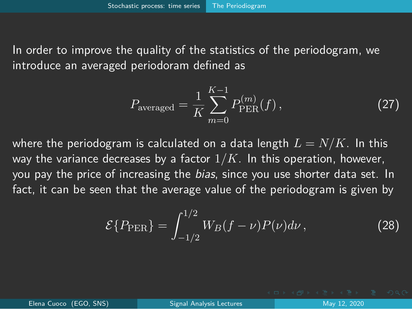<span id="page-17-0"></span>In order to improve the quality of the statistics of the periodogram, we introduce an averaged periodoram defined as

$$
P_{\text{averaged}} = \frac{1}{K} \sum_{m=0}^{K-1} P_{\text{PER}}^{(m)}(f) \,, \tag{27}
$$

where the periodogram is calculated on a data length  $L = N/K$ . In this way the variance decreases by a factor 1*/K*. In this operation, however, you pay the price of increasing the *bias*, since you use shorter data set. In fact, it can be seen that the average value of the periodogram is given by

$$
\mathcal{E}\{P_{\text{PER}}\} = \int_{-1/2}^{1/2} W_B(f - \nu) P(\nu) d\nu , \qquad (28)
$$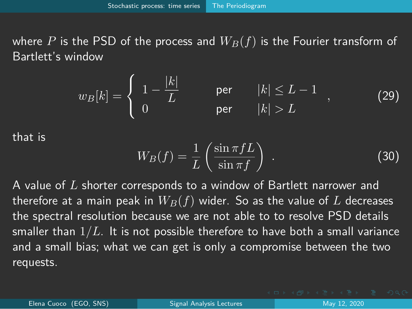<span id="page-18-0"></span>where P is the PSD of the process and  $W_B(f)$  is the Fourier transform of Bartlett's window

$$
w_B[k] = \begin{cases} 1 - \frac{|k|}{L} & \text{per} \quad |k| \le L - 1 \\ 0 & \text{per} \quad |k| > L \end{cases}
$$
 (29)

that is

$$
W_B(f) = \frac{1}{L} \left( \frac{\sin \pi f L}{\sin \pi f} \right) . \tag{30}
$$

A value of *L* shorter corresponds to a window of Bartlett narrower and therefore at a main peak in  $W_B(f)$  wider. So as the value of L decreases the spectral resolution because we are not able to to resolve PSD details smaller than 1*/L*. It is not possible therefore to have both a small variance and a small bias; what we can get is only a compromise between the two requests.